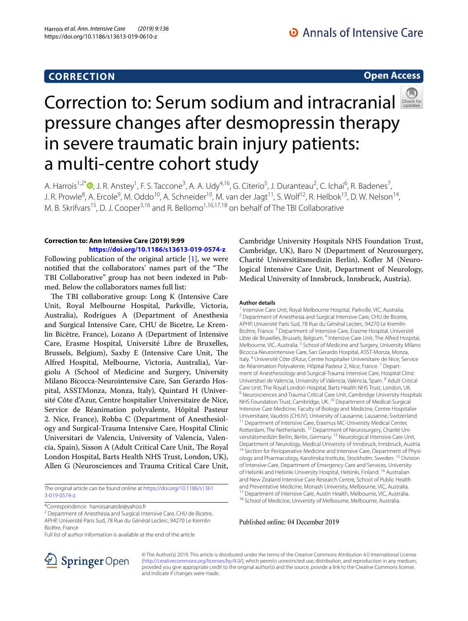## **CORRECTION**

## **Open Access**



# Correctionto: Serum sodium and intracranial pressure changes after desmopressin therapy in severe traumatic brain injury patients: a multi-centre cohort study

A. Harrois<sup>1,2\*</sup>®[,](http://orcid.org/0000-0002-5098-4656) J. R. Anstey<sup>1</sup>, F. S. Taccone<sup>3</sup>, A. A. Udy<sup>4,16</sup>, G. Citerio<sup>5</sup>, J. Duranteau<sup>2</sup>, C. Ichai<sup>6</sup>, R. Badenes<sup>7</sup>, J. R. Prowle<sup>8</sup>, A. Ercole<sup>9</sup>, M. Oddo<sup>10</sup>, A. Schneider<sup>10</sup>, M. van der Jagt<sup>11</sup>, S. Wolf<sup>12</sup>, R. Helbok<sup>13</sup>, D. W. Nelson<sup>14</sup>, M. B. Skrifvars<sup>15</sup>, D. J. Cooper<sup>3,16</sup> and R. Bellomo<sup>1,16,17,18</sup> on behalf of The TBI Collaborative

### **Correction to: Ann Intensive Care (2019) 9:99**

**<https://doi.org/10.1186/s13613-019-0574-z>** Following publication of the original article [\[1](#page-1-0)], we were notified that the collaborators' names part of the "The TBI Collaborative" group has not been indexed in Pubmed. Below the collaborators names full list:

The TBI collaborative group: Long K (Intensive Care Unit, Royal Melbourne Hospital, Parkville, Victoria, Australia), Rodrigues A (Department of Anesthesia and Surgical Intensive Care, CHU de Bicetre, Le Kremlin Bicêtre, France), Lozano A (Department of Intensive Care, Erasme Hospital, Université Libre de Bruxelles, Brussels, Belgium), Saxby E (Intensive Care Unit, The Alfred Hospital, Melbourne, Victoria, Australia), Vargiolu A (School of Medicine and Surgery, University Milano Bicocca-Neurointensive Care, San Gerardo Hospital, ASSTMonza, Monza, Italy), Quintard H (Université Côte d'Azur, Centre hospitalier Universitaire de Nice, Service de Réanimation polyvalente, Hôpital Pasteur 2. Nice, France), Robba C (Department of Anesthesiology and Surgical-Trauma Intensive Care, Hospital Clinic Universitari de Valencia, University of Valencia, Valencia, Spain), Sisson A (Adult Critical Care Unit, The Royal London Hospital, Barts Health NHS Trust, London, UK), Allen G (Neurosciences and Trauma Critical Care Unit,

The original article can be found online at [https://doi.org/10.1186/s1361](https://doi.org/10.1186/s13613-019-0574-z) [3-019-0574-z.](https://doi.org/10.1186/s13613-019-0574-z)

\*Correspondence: harroisanatole@yahoo.fr

<sup>2</sup> Department of Anesthesia and Surgical Intensive Care, CHU de Bicetre, APHP, Université Paris Sud, 78 Rue du Général Leclerc, 94270 Le Kremlin Bicêtre, France

Full list of author information is available at the end of the article

Cambridge University Hospitals NHS Foundation Trust, Cambridge, UK), Baro N (Department of Neurosurgery, Charité Universitätsmedizin Berlin), Kofer M (Neurological Intensive Care Unit, Department of Neurology, Medical University of Innsbruck, Innsbruck, Austria).

#### **Author details**

Intensive Care Unit, Royal Melbourne Hospital, Parkville, VIC, Australia. <sup>2</sup> Department of Anesthesia and Surgical Intensive Care, CHU de Bicetre, APHP, Université Paris Sud, 78 Rue du Général Leclerc, 94270 Le Kremlin Bicêtre, France. <sup>3</sup> Department of Intensive Care, Erasme Hospital, Université Libre de Bruxelles, Brussels, Belgium. <sup>4</sup> Intensive Care Unit, The Alfred Hospital, Melbourne, VIC, Australia.<sup>5</sup> School of Medicine and Surgery, University Milano Bicocca-Neurointensive Care, San Gerardo Hospital, ASST-Monza, Monza, Italy. <sup>6</sup> Université Côte d'Azur, Centre hospitalier Universitaire de Nice, Service de Réanimation Polyvalente, Hôpital Pasteur 2, Nice, France. <sup>7</sup> Department of Anesthesiology and Surgical-Trauma Intensive Care, Hospital Clinic Universitari de Valencia, University of Valencia, Valencia, Spain. 8 Adult Critical Care Unit, The Royal London Hospital, Barts Health NHS Trust, London, UK. <sup>9</sup> Neurosciences and Trauma Critical Care Unit, Cambridge University Hospitals NHS Foundation Trust, Cambridge, UK. 10 Department of Medical-Surgical Intensive Care Medicine, Faculty of Biology and Medicine, Centre Hospitalier Universitaire, Vaudois (CHUV), University of Lausanne, Lausanne, Switzerland.<br><sup>11</sup> Department of Intensive Care, Erasmus MC-University Medical Center, Rotterdam, The Netherlands. 12 Department of Neurosurgery, Charité Universitätsmedizin Berlin, Berlin, Germany. 13 Neurological Intensive Care Unit, Department of Neurology, Medical University of Innsbruck, Innsbruck, Austria.<br><sup>14</sup> Section for Perioperative Medicine and Intensive Care, Department of Physiology and Pharmacology, Karolinska Institute, Stockholm, Sweden. 15 Division of Intensive Care, Department of Emergency Care and Services, University of Helsinki and Helsinki University Hospital, Helsinki, Finland. 16 Australian and New Zealand Intensive Care Research Centre, School of Public Health and Preventative Medicine, Monash University, Melbourne, VIC, Australia.<br><sup>17</sup> Department of Intensive Care, Austin Health, Melbourne, VIC, Australia.<br><sup>18</sup> School of Medicine, University of Melbourne, Melbourne, Australia.

Published online: 04 December 2019



© The Author(s) 2019. This article is distributed under the terms of the Creative Commons Attribution 4.0 International License [\(http://creativecommons.org/licenses/by/4.0/\)](http://creativecommons.org/licenses/by/4.0/), which permits unrestricted use, distribution, and reproduction in any medium, provided you give appropriate credit to the original author(s) and the source, provide a link to the Creative Commons license, and indicate if changes were made.